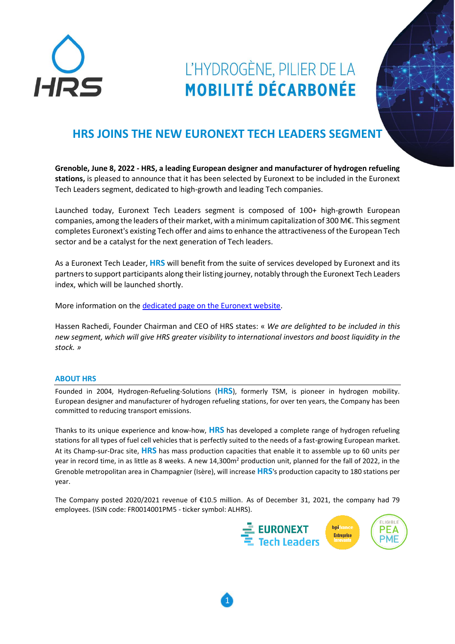

## L'HYDROGÈNE, PILIER DE LA **MOBILITÉ DÉCARBONÉE**

## **HRS JOINS THE NEW EURONEXT TECH LEADERS SEGMENT**

**Grenoble, June 8, 2022 - HRS, a leading European designer and manufacturer of hydrogen refueling stations,** is pleased to announce that it has been selected by Euronext to be included in the Euronext Tech Leaders segment, dedicated to high-growth and leading Tech companies.

Launched today, Euronext Tech Leaders segment is composed of 100+ high-growth European companies, among the leaders of their market, with a minimum capitalization of 300 M€. This segment completes Euronext's existing Tech offer and aims to enhance the attractiveness of the European Tech sector and be a catalyst for the next generation of Tech leaders.

As a Euronext Tech Leader, **HRS** will benefit from the suite of services developed by Euronext and its partners to support participants along their listing journey, notably through the Euronext Tech Leaders index, which will be launched shortly.

More information on the [dedicated page on the Euronext website.](https://www.euronext.com/en/raise-capital/euronext-tech-leaders)

Hassen Rachedi, Founder Chairman and CEO of HRS states: « *We are delighted to be included in this new segment, which will give HRS greater visibility to international investors and boost liquidity in the stock. »*

## **ABOUT HRS**

Founded in 2004, Hydrogen-Refueling-Solutions (**HRS**), formerly TSM, is pioneer in hydrogen mobility. European designer and manufacturer of hydrogen refueling stations, for over ten years, the Company has been committed to reducing transport emissions.

Thanks to its unique experience and know-how, **HRS** has developed a complete range of hydrogen refueling stations for all types of fuel cell vehicles that is perfectly suited to the needs of a fast-growing European market. At its Champ-sur-Drac site, **HRS** has mass production capacities that enable it to assemble up to 60 units per year in record time, in as little as 8 weeks. A new 14,300m<sup>2</sup> production unit, planned for the fall of 2022, in the Grenoble metropolitan area in Champagnier (Isère), will increase **HRS**'s production capacity to 180 stations per year.

The Company posted 2020/2021 revenue of €10.5 million. As of December 31, 2021, the company had 79 employees. (ISIN code: FR0014001PM5 - ticker symbol: ALHRS).

1